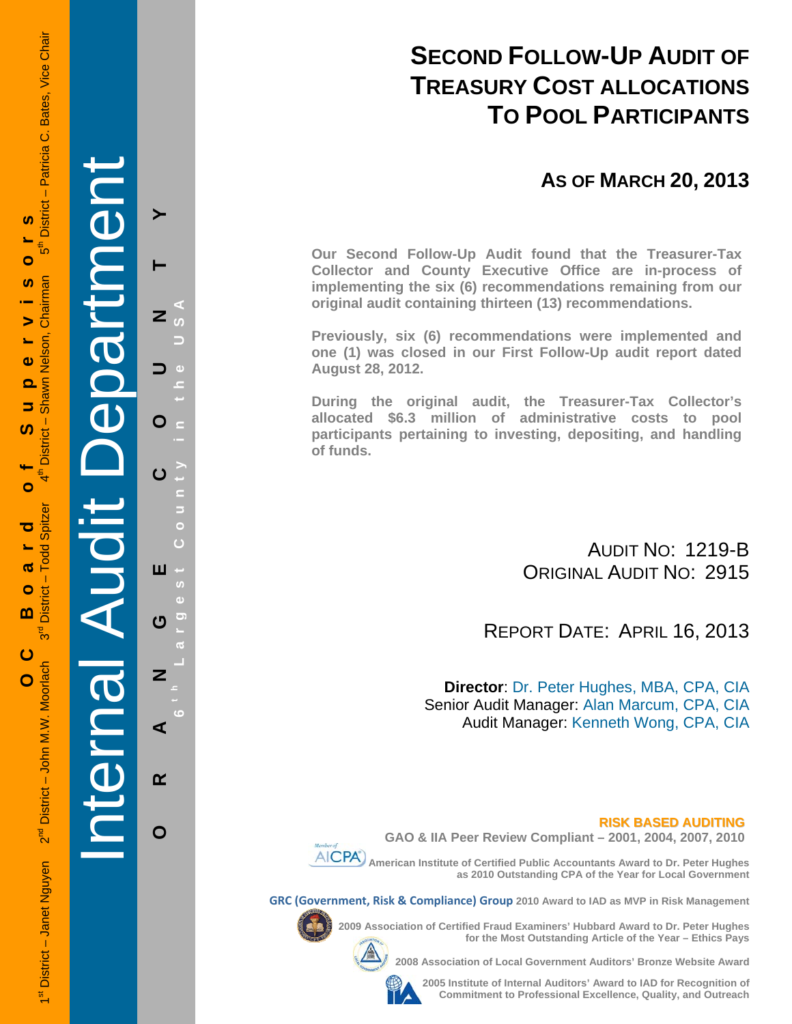# **SECOND FOLLOW-UP AUDIT OF TREASURY COST ALLOCATIONS TO POOL PARTICIPANTS**

## **AS OF MARCH 20, 2013**

**Our Second Follow-Up Audit found that the Treasurer-Tax Collector and County Executive Office are in-process of implementing the six (6) recommendations remaining from our original audit containing thirteen (13) recommendations.** 

**Previously, six (6) recommendations were implemented and one (1) was closed in our First Follow-Up audit report dated August 28, 2012.** 

**During the original audit, the Treasurer-Tax Collector's allocated \$6.3 million of administrative costs to pool participants pertaining to investing, depositing, and handling of funds.**

> AUDIT NO: 1219-B ORIGINAL AUDIT NO: 2915

REPORT DATE: APRIL 16, 2013

**Director**: Dr. Peter Hughes, MBA, CPA, CIA Senior Audit Manager: Alan Marcum, CPA, CIA Audit Manager: Kenneth Wong, CPA, CIA

#### **RISK BASED AUDITING GAO & IIA Peer Review Compliant – 2001, 2004, 2007, 2010**

 **American Institute of Certified Public Accountants Award to Dr. Peter Hughes** 

**as 2010 Outstanding CPA of the Year for Local Government** 

**GRC (Government, Risk & Compliance) Group 2010 Award to IAD as MVP in Risk Management** 



**2009 Association of Certified Fraud Examiners' Hubbard Award to Dr. Peter Hughes** 



**2008 Association of Local Government Auditors' Bronze Website Award** 

**for the Most Outstanding Article of the Year – Ethics Pays** 

**2005 Institute of Internal Auditors' Award to IAD for Recognition of Commitment to Professional Excellence, Quality, and Outreach**

1st District – Janet Nguyen 2<sup>nd</sup> District – John M.W. Moorlach 3<sup>rd</sup> District – Todd Spitzer 4th District – Shawn Nelson, Chairman 5th District – Patricia C. Bates, Vice Chair District - Patricia C. Bates, Vice Chair S, **OC Board of Supervisors** =<br>ნი Ó Chairman m  $\blacktriangleright$ Shawn Nelson, Ł.  $\ddot{\mathbf{v}}$ ൎ  $\Rightarrow$ <u>ທ</u> **District**  $\bullet$ Todd Spitzer ರ ൹  $\mathbf{I}$  $\bullet$ District m \_<br>თ ပ 2<sup>nd</sup> District - John M.W. Moorlach  $\overline{O}$ 1<sup>st</sup> District - Janet Nguyen

Internal Audit Department **ORANGE COUNTY 6 t h Lar** Z O ш ෆ Z ⋖  $\alpha$ 

**g**

O

**est Count**

**y in the USA**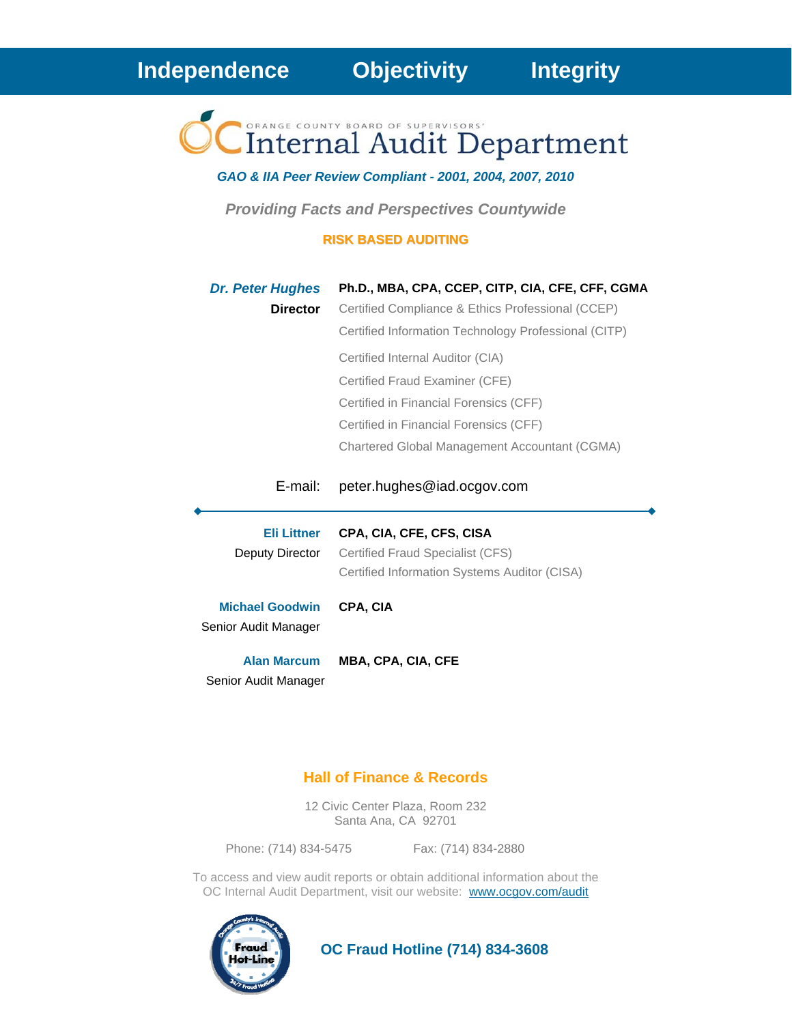Internal Audit Department

*GAO & IIA Peer Review Compliant - 2001, 2004, 2007, 2010* 

*Providing Facts and Perspectives Countywide* 

#### **RISK BASED AUDITING**

| <b>Dr. Peter Hughes</b><br><b>Director</b>     | Ph.D., MBA, CPA, CCEP, CITP, CIA, CFE, CFF, CGMA<br>Certified Compliance & Ethics Professional (CCEP)<br>Certified Information Technology Professional (CITP)<br>Certified Internal Auditor (CIA)<br>Certified Fraud Examiner (CFE)<br>Certified in Financial Forensics (CFF)<br>Certified in Financial Forensics (CFF)<br>Chartered Global Management Accountant (CGMA) |
|------------------------------------------------|--------------------------------------------------------------------------------------------------------------------------------------------------------------------------------------------------------------------------------------------------------------------------------------------------------------------------------------------------------------------------|
| E-mail:                                        | peter.hughes@iad.ocgov.com                                                                                                                                                                                                                                                                                                                                               |
| <b>Eli Littner</b><br>Deputy Director          | CPA, CIA, CFE, CFS, CISA<br>Certified Fraud Specialist (CFS)<br>Certified Information Systems Auditor (CISA)                                                                                                                                                                                                                                                             |
| <b>Michael Goodwin</b><br>Senior Audit Manager | <b>CPA. CIA</b>                                                                                                                                                                                                                                                                                                                                                          |
| <b>Alan Marcum</b><br>Senior Audit Manager     | <b>MBA, CPA, CIA, CFE</b>                                                                                                                                                                                                                                                                                                                                                |

#### **Hall of Finance & Records**

12 Civic Center Plaza, Room 232 Santa Ana, CA 92701

Phone: (714) 834-5475 Fax: (714) 834-2880

To access and view audit reports or obtain additional information about the OC Internal Audit Department, visit our website: www.ocgov.com/audit



 **OC Fraud Hotline (714) 834-3608**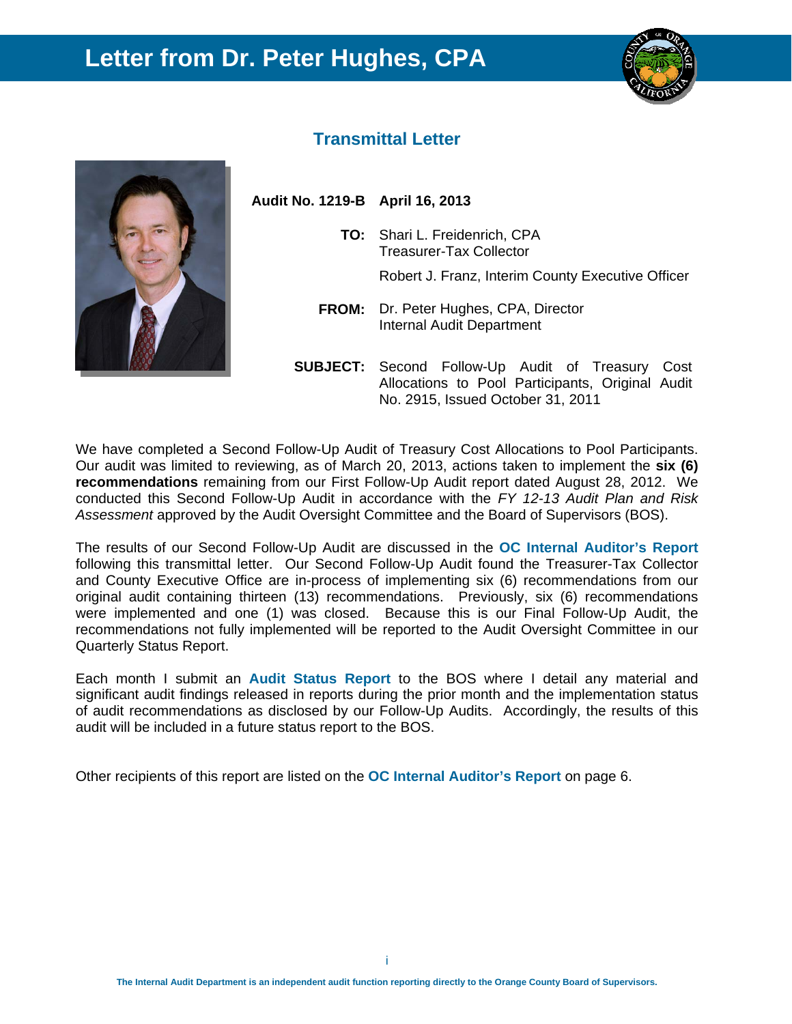## **Letter from Dr. Peter Hughes, CPA**





#### **Transmittal Letter**

**Audit No. 1219-B April 16, 2013** 

- **TO:** Shari L. Freidenrich, CPA Treasurer-Tax Collector Robert J. Franz, Interim County Executive Officer
- **FROM:** Dr. Peter Hughes, CPA, Director Internal Audit Department
- **SUBJECT:** Second Follow-Up Audit of Treasury Cost Allocations to Pool Participants, Original Audit No. 2915, Issued October 31, 2011

We have completed a Second Follow-Up Audit of Treasury Cost Allocations to Pool Participants. Our audit was limited to reviewing, as of March 20, 2013, actions taken to implement the **six (6) recommendations** remaining from our First Follow-Up Audit report dated August 28, 2012. We conducted this Second Follow-Up Audit in accordance with the *FY 12-13 Audit Plan and Risk Assessment* approved by the Audit Oversight Committee and the Board of Supervisors (BOS).

The results of our Second Follow-Up Audit are discussed in the **OC Internal Auditor's Report**  following this transmittal letter. Our Second Follow-Up Audit found the Treasurer-Tax Collector and County Executive Office are in-process of implementing six (6) recommendations from our original audit containing thirteen (13) recommendations. Previously, six (6) recommendations were implemented and one (1) was closed. Because this is our Final Follow-Up Audit, the recommendations not fully implemented will be reported to the Audit Oversight Committee in our Quarterly Status Report.

Each month I submit an **Audit Status Report** to the BOS where I detail any material and significant audit findings released in reports during the prior month and the implementation status of audit recommendations as disclosed by our Follow-Up Audits. Accordingly, the results of this audit will be included in a future status report to the BOS.

Other recipients of this report are listed on the **OC Internal Auditor's Report** on page 6.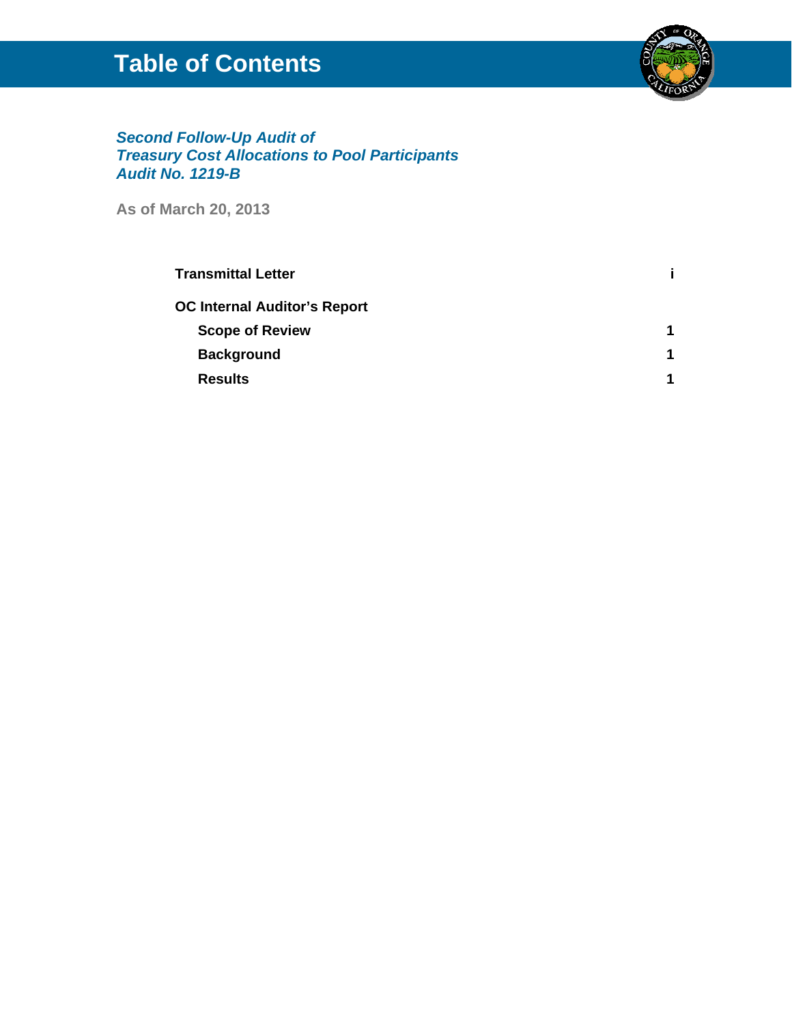# **Table of Contents**



#### *Second Follow-Up Audit of Treasury Cost Allocations to Pool Participants Audit No. 1219-B*

**As of March 20, 2013**

| <b>Transmittal Letter</b>           |   |
|-------------------------------------|---|
| <b>OC Internal Auditor's Report</b> |   |
| <b>Scope of Review</b>              | 1 |
| <b>Background</b>                   | 1 |
| <b>Results</b>                      | 1 |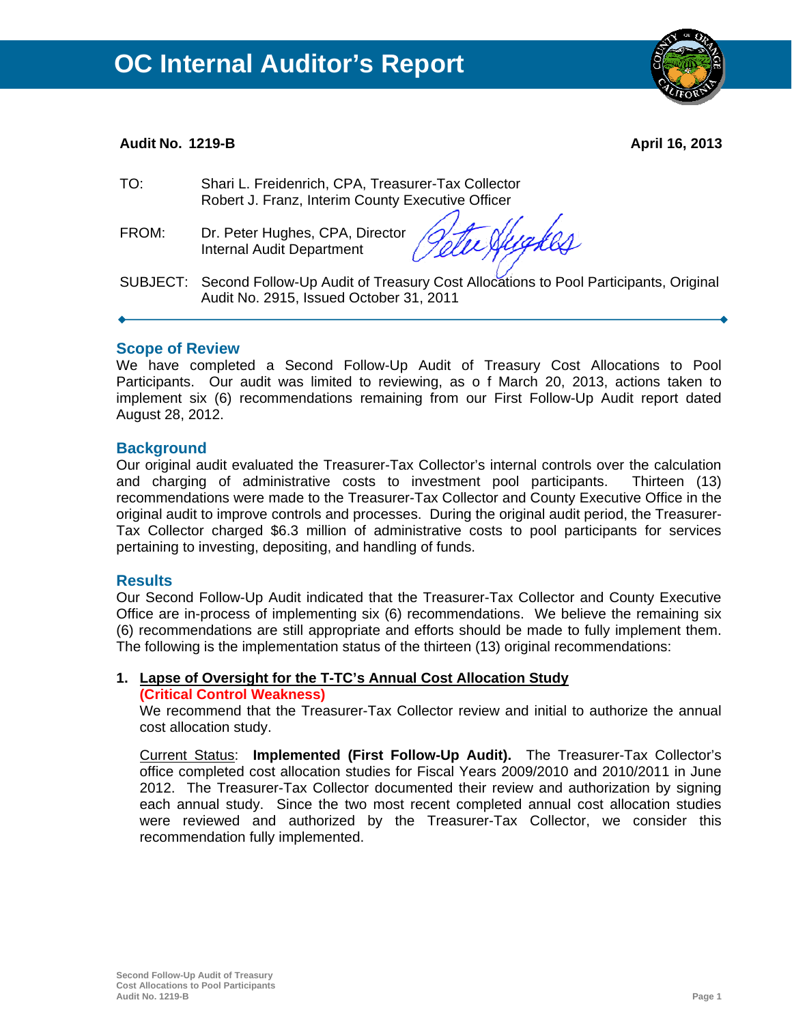#### **Audit No. 1219-B April 16, 2013**

- TO: Shari L. Freidenrich, CPA, Treasurer-Tax Collector Robert J. Franz, Interim County Executive Officer
- FROM: Dr. Peter Hughes, CPA, Director Internal Audit Department

Yuaker

SUBJECT: Second Follow-Up Audit of Treasury Cost Allocations to Pool Participants, Original Audit No. 2915, Issued October 31, 2011

#### **Scope of Review**

We have completed a Second Follow-Up Audit of Treasury Cost Allocations to Pool Participants. Our audit was limited to reviewing, as o f March 20, 2013, actions taken to implement six (6) recommendations remaining from our First Follow-Up Audit report dated August 28, 2012.

#### **Background**

Our original audit evaluated the Treasurer-Tax Collector's internal controls over the calculation and charging of administrative costs to investment pool participants. Thirteen (13) recommendations were made to the Treasurer-Tax Collector and County Executive Office in the original audit to improve controls and processes. During the original audit period, the Treasurer-Tax Collector charged \$6.3 million of administrative costs to pool participants for services pertaining to investing, depositing, and handling of funds.

#### **Results**

Our Second Follow-Up Audit indicated that the Treasurer-Tax Collector and County Executive Office are in-process of implementing six (6) recommendations. We believe the remaining six (6) recommendations are still appropriate and efforts should be made to fully implement them. The following is the implementation status of the thirteen (13) original recommendations:

## **1. Lapse of Oversight for the T-TC's Annual Cost Allocation Study**

#### **(Critical Control Weakness)**

We recommend that the Treasurer-Tax Collector review and initial to authorize the annual cost allocation study.

Current Status: **Implemented (First Follow-Up Audit).** The Treasurer-Tax Collector's office completed cost allocation studies for Fiscal Years 2009/2010 and 2010/2011 in June 2012. The Treasurer-Tax Collector documented their review and authorization by signing each annual study. Since the two most recent completed annual cost allocation studies were reviewed and authorized by the Treasurer-Tax Collector, we consider this recommendation fully implemented.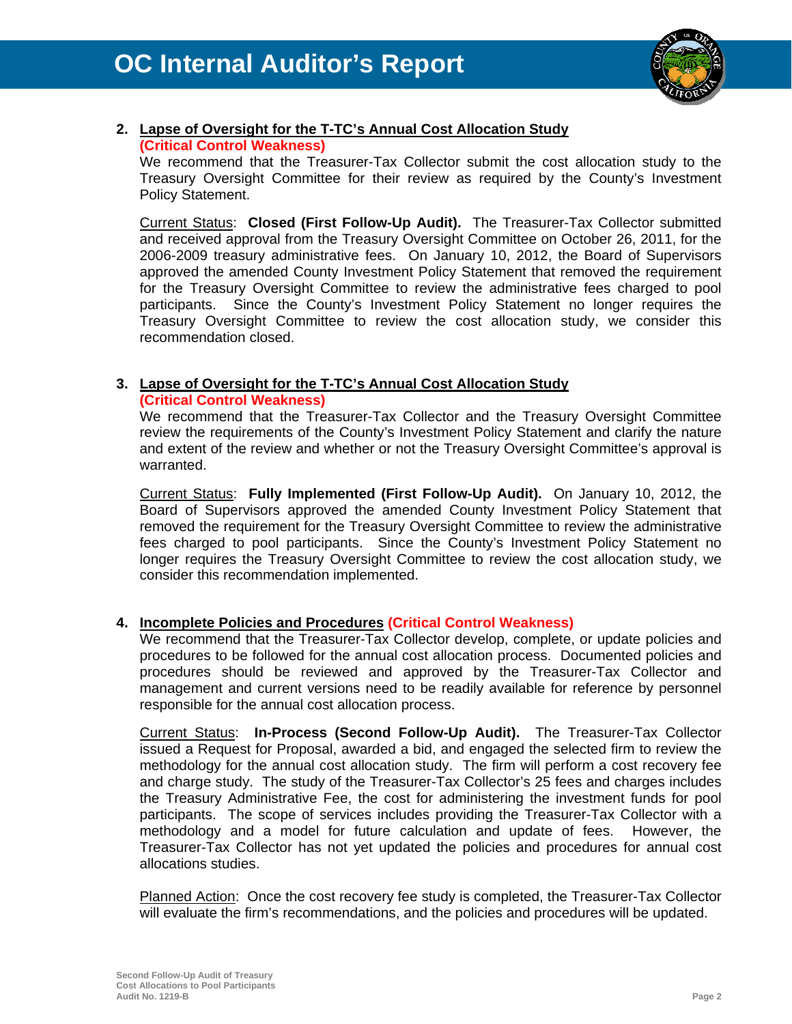

#### **2. Lapse of Oversight for the T-TC's Annual Cost Allocation Study (Critical Control Weakness)**

We recommend that the Treasurer-Tax Collector submit the cost allocation study to the Treasury Oversight Committee for their review as required by the County's Investment Policy Statement.

Current Status: **Closed (First Follow-Up Audit).** The Treasurer-Tax Collector submitted and received approval from the Treasury Oversight Committee on October 26, 2011, for the 2006-2009 treasury administrative fees. On January 10, 2012, the Board of Supervisors approved the amended County Investment Policy Statement that removed the requirement for the Treasury Oversight Committee to review the administrative fees charged to pool participants. Since the County's Investment Policy Statement no longer requires the Treasury Oversight Committee to review the cost allocation study, we consider this recommendation closed.

### **3. Lapse of Oversight for the T-TC's Annual Cost Allocation Study**

#### **(Critical Control Weakness)**

We recommend that the Treasurer-Tax Collector and the Treasury Oversight Committee review the requirements of the County's Investment Policy Statement and clarify the nature and extent of the review and whether or not the Treasury Oversight Committee's approval is warranted.

Current Status: **Fully Implemented (First Follow-Up Audit).** On January 10, 2012, the Board of Supervisors approved the amended County Investment Policy Statement that removed the requirement for the Treasury Oversight Committee to review the administrative fees charged to pool participants. Since the County's Investment Policy Statement no longer requires the Treasury Oversight Committee to review the cost allocation study, we consider this recommendation implemented.

#### **4. Incomplete Policies and Procedures (Critical Control Weakness)**

We recommend that the Treasurer-Tax Collector develop, complete, or update policies and procedures to be followed for the annual cost allocation process. Documented policies and procedures should be reviewed and approved by the Treasurer-Tax Collector and management and current versions need to be readily available for reference by personnel responsible for the annual cost allocation process.

Current Status: **In-Process (Second Follow-Up Audit).** The Treasurer-Tax Collector issued a Request for Proposal, awarded a bid, and engaged the selected firm to review the methodology for the annual cost allocation study. The firm will perform a cost recovery fee and charge study. The study of the Treasurer-Tax Collector's 25 fees and charges includes the Treasury Administrative Fee, the cost for administering the investment funds for pool participants. The scope of services includes providing the Treasurer-Tax Collector with a methodology and a model for future calculation and update of fees. However, the Treasurer-Tax Collector has not yet updated the policies and procedures for annual cost allocations studies.

Planned Action: Once the cost recovery fee study is completed, the Treasurer-Tax Collector will evaluate the firm's recommendations, and the policies and procedures will be updated.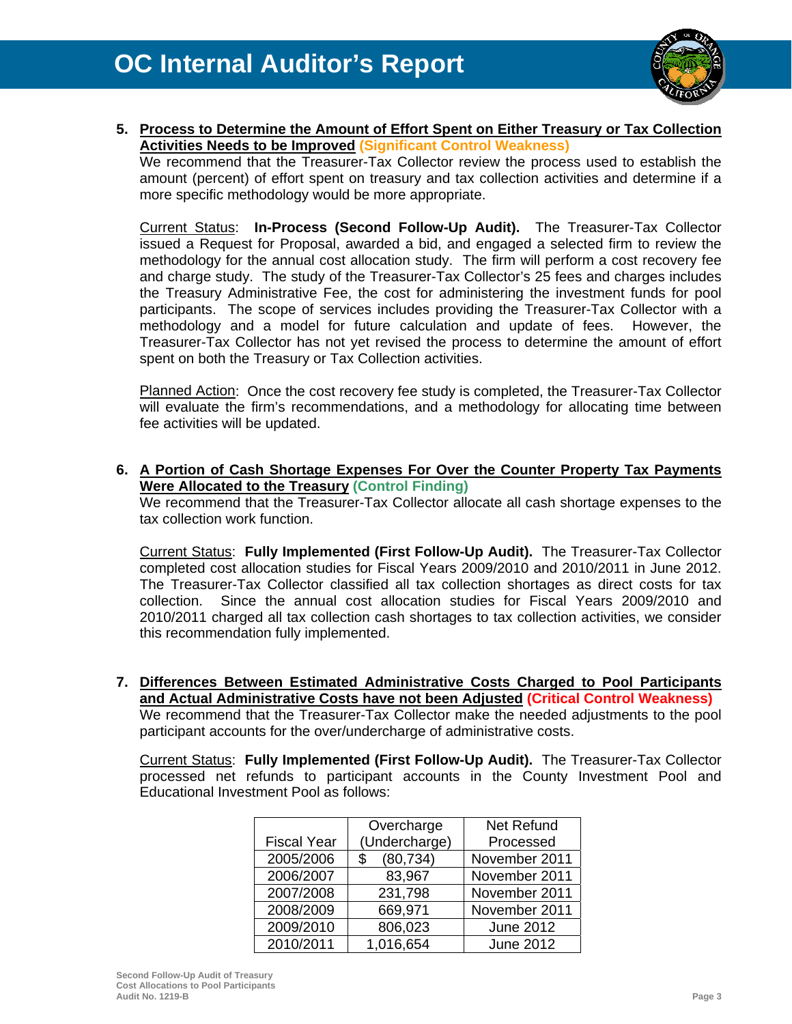

**5. Process to Determine the Amount of Effort Spent on Either Treasury or Tax Collection Activities Needs to be Improved (Significant Control Weakness)**

We recommend that the Treasurer-Tax Collector review the process used to establish the amount (percent) of effort spent on treasury and tax collection activities and determine if a more specific methodology would be more appropriate.

Current Status: **In-Process (Second Follow-Up Audit).** The Treasurer-Tax Collector issued a Request for Proposal, awarded a bid, and engaged a selected firm to review the methodology for the annual cost allocation study. The firm will perform a cost recovery fee and charge study. The study of the Treasurer-Tax Collector's 25 fees and charges includes the Treasury Administrative Fee, the cost for administering the investment funds for pool participants. The scope of services includes providing the Treasurer-Tax Collector with a methodology and a model for future calculation and update of fees. However, the Treasurer-Tax Collector has not yet revised the process to determine the amount of effort spent on both the Treasury or Tax Collection activities.

Planned Action: Once the cost recovery fee study is completed, the Treasurer-Tax Collector will evaluate the firm's recommendations, and a methodology for allocating time between fee activities will be updated.

**6. A Portion of Cash Shortage Expenses For Over the Counter Property Tax Payments Were Allocated to the Treasury (Control Finding)**

We recommend that the Treasurer-Tax Collector allocate all cash shortage expenses to the tax collection work function.

Current Status: **Fully Implemented (First Follow-Up Audit).** The Treasurer-Tax Collector completed cost allocation studies for Fiscal Years 2009/2010 and 2010/2011 in June 2012. The Treasurer-Tax Collector classified all tax collection shortages as direct costs for tax collection. Since the annual cost allocation studies for Fiscal Years 2009/2010 and 2010/2011 charged all tax collection cash shortages to tax collection activities, we consider this recommendation fully implemented.

**7. Differences Between Estimated Administrative Costs Charged to Pool Participants and Actual Administrative Costs have not been Adjusted (Critical Control Weakness)** We recommend that the Treasurer-Tax Collector make the needed adjustments to the pool participant accounts for the over/undercharge of administrative costs.

Current Status: **Fully Implemented (First Follow-Up Audit).** The Treasurer-Tax Collector processed net refunds to participant accounts in the County Investment Pool and Educational Investment Pool as follows:

|                    | Overcharge      | <b>Net Refund</b> |  |
|--------------------|-----------------|-------------------|--|
| <b>Fiscal Year</b> | (Undercharge)   | Processed         |  |
| 2005/2006          | (80, 734)<br>\$ | November 2011     |  |
| 2006/2007          | 83,967          | November 2011     |  |
| 2007/2008          | 231,798         | November 2011     |  |
| 2008/2009          | 669,971         | November 2011     |  |
| 2009/2010          | 806,023         | <b>June 2012</b>  |  |
| 2010/2011          | 1,016,654       | <b>June 2012</b>  |  |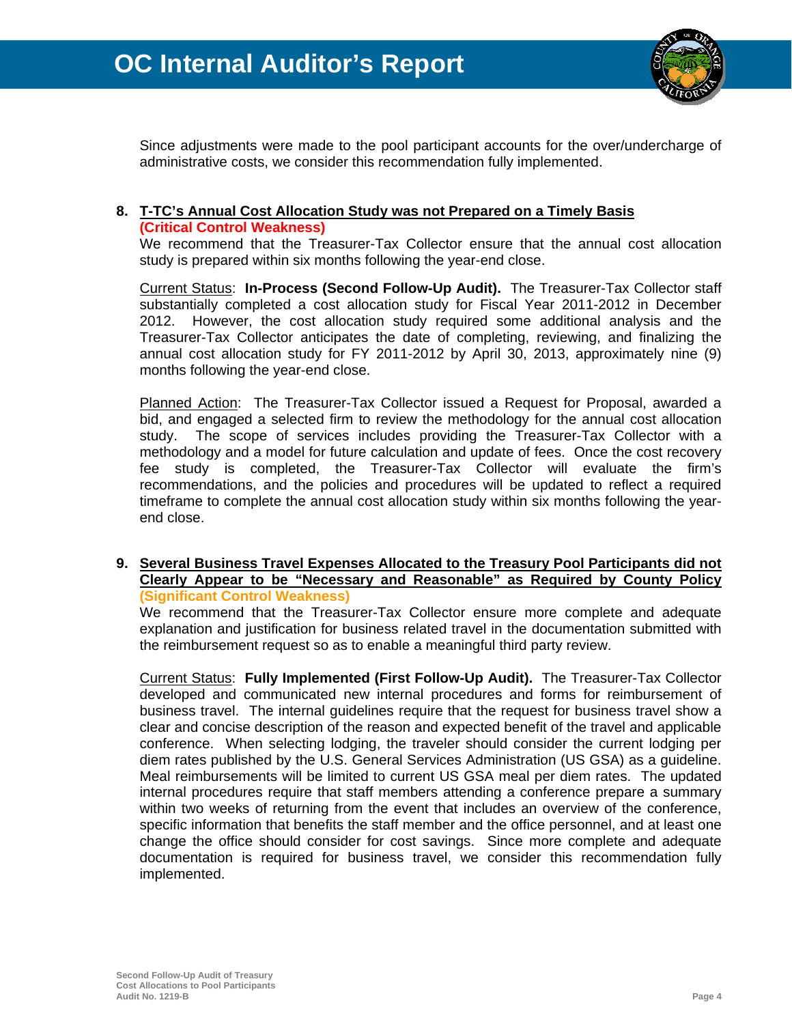

Since adjustments were made to the pool participant accounts for the over/undercharge of administrative costs, we consider this recommendation fully implemented.

#### **8. T-TC's Annual Cost Allocation Study was not Prepared on a Timely Basis (Critical Control Weakness)**

We recommend that the Treasurer-Tax Collector ensure that the annual cost allocation study is prepared within six months following the year-end close.

Current Status: **In-Process (Second Follow-Up Audit).** The Treasurer-Tax Collector staff substantially completed a cost allocation study for Fiscal Year 2011-2012 in December 2012. However, the cost allocation study required some additional analysis and the Treasurer-Tax Collector anticipates the date of completing, reviewing, and finalizing the annual cost allocation study for FY 2011-2012 by April 30, 2013, approximately nine (9) months following the year-end close.

Planned Action: The Treasurer-Tax Collector issued a Request for Proposal, awarded a bid, and engaged a selected firm to review the methodology for the annual cost allocation study. The scope of services includes providing the Treasurer-Tax Collector with a methodology and a model for future calculation and update of fees. Once the cost recovery fee study is completed, the Treasurer-Tax Collector will evaluate the firm's recommendations, and the policies and procedures will be updated to reflect a required timeframe to complete the annual cost allocation study within six months following the yearend close.

#### **9. Several Business Travel Expenses Allocated to the Treasury Pool Participants did not Clearly Appear to be "Necessary and Reasonable" as Required by County Policy (Significant Control Weakness)**

We recommend that the Treasurer-Tax Collector ensure more complete and adequate explanation and justification for business related travel in the documentation submitted with the reimbursement request so as to enable a meaningful third party review.

Current Status: **Fully Implemented (First Follow-Up Audit).** The Treasurer-Tax Collector developed and communicated new internal procedures and forms for reimbursement of business travel. The internal guidelines require that the request for business travel show a clear and concise description of the reason and expected benefit of the travel and applicable conference. When selecting lodging, the traveler should consider the current lodging per diem rates published by the U.S. General Services Administration (US GSA) as a guideline. Meal reimbursements will be limited to current US GSA meal per diem rates. The updated internal procedures require that staff members attending a conference prepare a summary within two weeks of returning from the event that includes an overview of the conference, specific information that benefits the staff member and the office personnel, and at least one change the office should consider for cost savings. Since more complete and adequate documentation is required for business travel, we consider this recommendation fully implemented.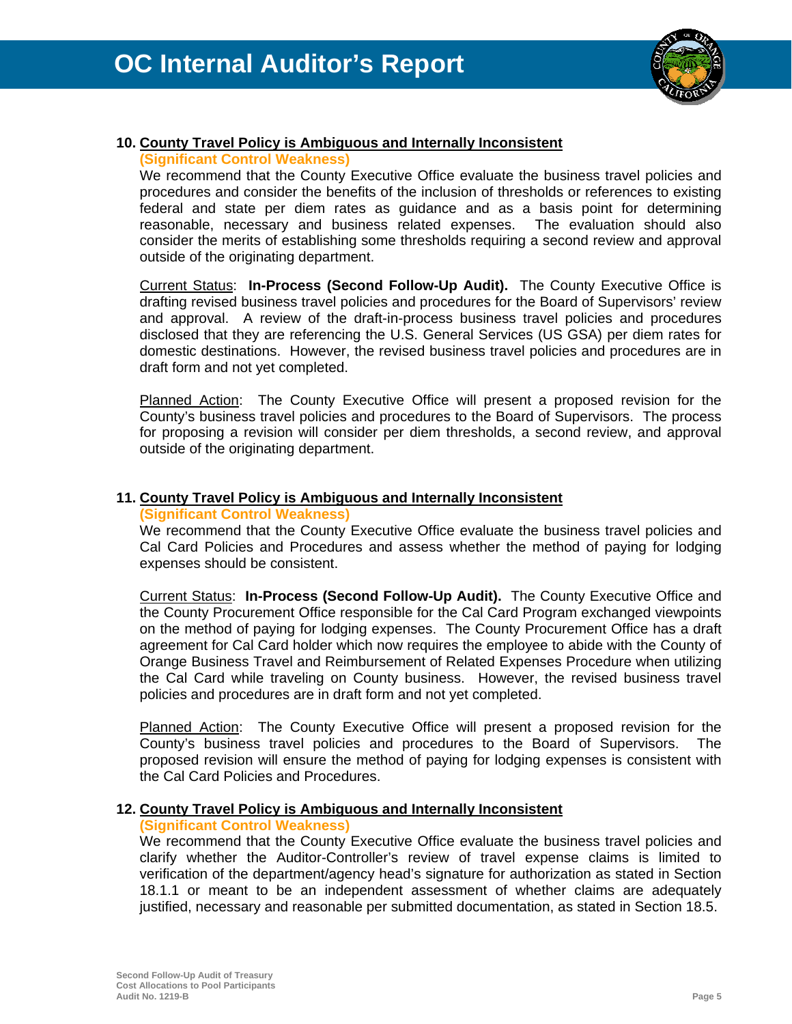

#### **10. County Travel Policy is Ambiguous and Internally Inconsistent**

#### **(Significant Control Weakness)**

We recommend that the County Executive Office evaluate the business travel policies and procedures and consider the benefits of the inclusion of thresholds or references to existing federal and state per diem rates as guidance and as a basis point for determining reasonable, necessary and business related expenses. The evaluation should also consider the merits of establishing some thresholds requiring a second review and approval outside of the originating department.

Current Status: **In-Process (Second Follow-Up Audit).** The County Executive Office is drafting revised business travel policies and procedures for the Board of Supervisors' review and approval. A review of the draft-in-process business travel policies and procedures disclosed that they are referencing the U.S. General Services (US GSA) per diem rates for domestic destinations. However, the revised business travel policies and procedures are in draft form and not yet completed.

Planned Action: The County Executive Office will present a proposed revision for the County's business travel policies and procedures to the Board of Supervisors. The process for proposing a revision will consider per diem thresholds, a second review, and approval outside of the originating department.

#### **11. County Travel Policy is Ambiguous and Internally Inconsistent**

#### **(Significant Control Weakness)**

We recommend that the County Executive Office evaluate the business travel policies and Cal Card Policies and Procedures and assess whether the method of paying for lodging expenses should be consistent.

Current Status: **In-Process (Second Follow-Up Audit).** The County Executive Office and the County Procurement Office responsible for the Cal Card Program exchanged viewpoints on the method of paying for lodging expenses. The County Procurement Office has a draft agreement for Cal Card holder which now requires the employee to abide with the County of Orange Business Travel and Reimbursement of Related Expenses Procedure when utilizing the Cal Card while traveling on County business. However, the revised business travel policies and procedures are in draft form and not yet completed.

Planned Action: The County Executive Office will present a proposed revision for the County's business travel policies and procedures to the Board of Supervisors. The proposed revision will ensure the method of paying for lodging expenses is consistent with the Cal Card Policies and Procedures.

#### **12. County Travel Policy is Ambiguous and Internally Inconsistent**

#### **(Significant Control Weakness)**

We recommend that the County Executive Office evaluate the business travel policies and clarify whether the Auditor-Controller's review of travel expense claims is limited to verification of the department/agency head's signature for authorization as stated in Section 18.1.1 or meant to be an independent assessment of whether claims are adequately justified, necessary and reasonable per submitted documentation, as stated in Section 18.5.